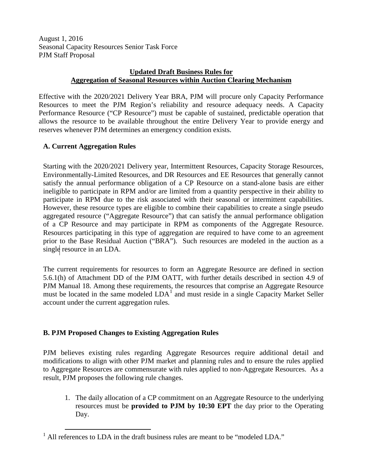August 1, 2016 Seasonal Capacity Resources Senior Task Force PJM Staff Proposal

## **Updated Draft Business Rules for Aggregation of Seasonal Resources within Auction Clearing Mechanism**

Effective with the 2020/2021 Delivery Year BRA, PJM will procure only Capacity Performance Resources to meet the PJM Region's reliability and resource adequacy needs. A Capacity Performance Resource ("CP Resource") must be capable of sustained, predictable operation that allows the resource to be available throughout the entire Delivery Year to provide energy and reserves whenever PJM determines an emergency condition exists.

## **A. Current Aggregation Rules**

Starting with the 2020/2021 Delivery year, Intermittent Resources, Capacity Storage Resources, Environmentally-Limited Resources, and DR Resources and EE Resources that generally cannot satisfy the annual performance obligation of a CP Resource on a stand-alone basis are either ineligible to participate in RPM and/or are limited from a quantity perspective in their ability to participate in RPM due to the risk associated with their seasonal or intermittent capabilities. However, these resource types are eligible to combine their capabilities to create a single pseudo aggregated resource ("Aggregate Resource") that can satisfy the annual performance obligation of a CP Resource and may participate in RPM as components of the Aggregate Resource. Resources participating in this type of aggregation are required to have come to an agreement prior to the Base Residual Auction ("BRA"). Such resources are modeled in the auction as a single resource in an LDA.

The current requirements for resources to form an Aggregate Resource are defined in section 5.6.1(h) of Attachment DD of the PJM OATT, with further details described in section 4.9 of PJM Manual 18. Among these requirements, the resources that comprise an Aggregate Resource must be located in the same modeled  $LDA<sup>1</sup>$  $LDA<sup>1</sup>$  $LDA<sup>1</sup>$  and must reside in a single Capacity Market Seller account under the current aggregation rules.

## **B. PJM Proposed Changes to Existing Aggregation Rules**

PJM believes existing rules regarding Aggregate Resources require additional detail and modifications to align with other PJM market and planning rules and to ensure the rules applied to Aggregate Resources are commensurate with rules applied to non-Aggregate Resources. As a result, PJM proposes the following rule changes.

1. The daily allocation of a CP commitment on an Aggregate Resource to the underlying resources must be **provided to PJM by 10:30 EPT** the day prior to the Operating Day.

<span id="page-0-0"></span> $<sup>1</sup>$  All references to LDA in the draft business rules are meant to be "modeled LDA."</sup>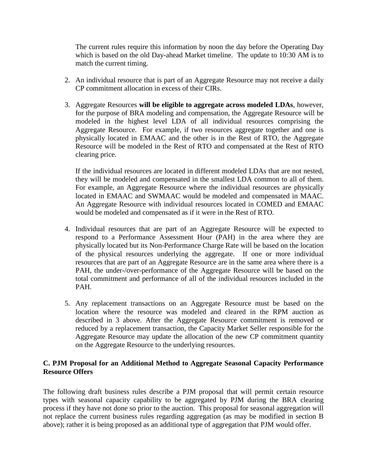The current rules require this information by noon the day before the Operating Day which is based on the old Day-ahead Market timeline. The update to 10:30 AM is to match the current timing.

- 2. An individual resource that is part of an Aggregate Resource may not receive a daily CP commitment allocation in excess of their CIRs.
- 3. Aggregate Resources **will be eligible to aggregate across modeled LDAs**, however, for the purpose of BRA modeling and compensation, the Aggregate Resource will be modeled in the highest level LDA of all individual resources comprising the Aggregate Resource. For example, if two resources aggregate together and one is physically located in EMAAC and the other is in the Rest of RTO, the Aggregate Resource will be modeled in the Rest of RTO and compensated at the Rest of RTO clearing price.

If the individual resources are located in different modeled LDAs that are not nested, they will be modeled and compensated in the smallest LDA common to all of them. For example, an Aggregate Resource where the individual resources are physically located in EMAAC and SWMAAC would be modeled and compensated in MAAC. An Aggregate Resource with individual resources located in COMED and EMAAC would be modeled and compensated as if it were in the Rest of RTO.

- 4. Individual resources that are part of an Aggregate Resource will be expected to respond to a Performance Assessment Hour (PAH) in the area where they are physically located but its Non-Performance Charge Rate will be based on the location of the physical resources underlying the aggregate. If one or more individual resources that are part of an Aggregate Resource are in the same area where there is a PAH, the under-/over-performance of the Aggregate Resource will be based on the total commitment and performance of all of the individual resources included in the PAH.
- 5. Any replacement transactions on an Aggregate Resource must be based on the location where the resource was modeled and cleared in the RPM auction as described in 3 above. After the Aggregate Resource commitment is removed or reduced by a replacement transaction, the Capacity Market Seller responsible for the Aggregate Resource may update the allocation of the new CP commitment quantity on the Aggregate Resource to the underlying resources.

## **C. PJM Proposal for an Additional Method to Aggregate Seasonal Capacity Performance Resource Offers**

The following draft business rules describe a PJM proposal that will permit certain resource types with seasonal capacity capability to be aggregated by PJM during the BRA clearing process if they have not done so prior to the auction. This proposal for seasonal aggregation will not replace the current business rules regarding aggregation (as may be modified in section B above); rather it is being proposed as an additional type of aggregation that PJM would offer.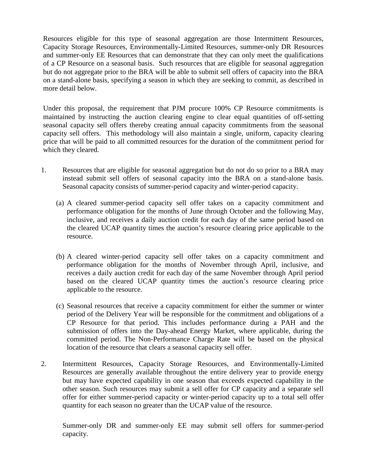Resources eligible for this type of seasonal aggregation are those Intermittent Resources, Capacity Storage Resources, Environmentally-Limited Resources, summer-only DR Resources and summer-only EE Resources that can demonstrate that they can only meet the qualifications of a CP Resource on a seasonal basis. Such resources that are eligible for seasonal aggregation but do not aggregate prior to the BRA will be able to submit sell offers of capacity into the BRA on a stand-alone basis, specifying a season in which they are seeking to commit, as described in more detail below.

Under this proposal, the requirement that PJM procure 100% CP Resource commitments is maintained by instructing the auction clearing engine to clear equal quantities of off-setting seasonal capacity sell offers thereby creating annual capacity commitments from the seasonal capacity sell offers. This methodology will also maintain a single, uniform, capacity clearing price that will be paid to all committed resources for the duration of the commitment period for which they cleared.

- 1. Resources that are eligible for seasonal aggregation but do not do so prior to a BRA may instead submit sell offers of seasonal capacity into the BRA on a stand-alone basis. Seasonal capacity consists of summer-period capacity and winter-period capacity.
	- (a) A cleared summer-period capacity sell offer takes on a capacity commitment and performance obligation for the months of June through October and the following May, inclusive, and receives a daily auction credit for each day of the same period based on the cleared UCAP quantity times the auction's resource clearing price applicable to the resource.
	- (b) A cleared winter-period capacity sell offer takes on a capacity commitment and performance obligation for the months of November through April, inclusive, and receives a daily auction credit for each day of the same November through April period based on the cleared UCAP quantity times the auction's resource clearing price applicable to the resource.
	- (c) Seasonal resources that receive a capacity commitment for either the summer or winter period of the Delivery Year will be responsible for the commitment and obligations of a CP Resource for that period. This includes performance during a PAH and the submission of offers into the Day-ahead Energy Market, where applicable, during the committed period. The Non-Performance Charge Rate will be based on the physical location of the resource that clears a seasonal capacity sell offer.
- 2. Intermittent Resources, Capacity Storage Resources, and Environmentally-Limited Resources are generally available throughout the entire delivery year to provide energy but may have expected capability in one season that exceeds expected capability in the other season. Such resources may submit a sell offer for CP capacity and a separate sell offer for either summer-period capacity or winter-period capacity up to a total sell offer quantity for each season no greater than the UCAP value of the resource.

Summer-only DR and summer-only EE may submit sell offers for summer-period capacity.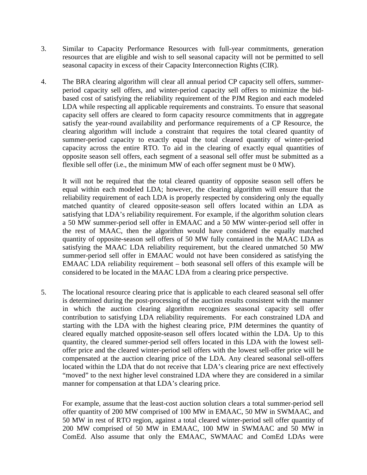- 3. Similar to Capacity Performance Resources with full-year commitments, generation resources that are eligible and wish to sell seasonal capacity will not be permitted to sell seasonal capacity in excess of their Capacity Interconnection Rights (CIR).
- 4. The BRA clearing algorithm will clear all annual period CP capacity sell offers, summerperiod capacity sell offers, and winter-period capacity sell offers to minimize the bidbased cost of satisfying the reliability requirement of the PJM Region and each modeled LDA while respecting all applicable requirements and constraints. To ensure that seasonal capacity sell offers are cleared to form capacity resource commitments that in aggregate satisfy the year-round availability and performance requirements of a CP Resource, the clearing algorithm will include a constraint that requires the total cleared quantity of summer-period capacity to exactly equal the total cleared quantity of winter-period capacity across the entire RTO. To aid in the clearing of exactly equal quantities of opposite season sell offers, each segment of a seasonal sell offer must be submitted as a flexible sell offer (i.e., the minimum MW of each offer segment must be 0 MW).

It will not be required that the total cleared quantity of opposite season sell offers be equal within each modeled LDA; however, the clearing algorithm will ensure that the reliability requirement of each LDA is properly respected by considering only the equally matched quantity of cleared opposite-season sell offers located within an LDA as satisfying that LDA's reliability requirement. For example, if the algorithm solution clears a 50 MW summer-period sell offer in EMAAC and a 50 MW winter-period sell offer in the rest of MAAC, then the algorithm would have considered the equally matched quantity of opposite-season sell offers of 50 MW fully contained in the MAAC LDA as satisfying the MAAC LDA reliability requirement, but the cleared unmatched 50 MW summer-period sell offer in EMAAC would not have been considered as satisfying the EMAAC LDA reliability requirement – both seasonal sell offers of this example will be considered to be located in the MAAC LDA from a clearing price perspective.

5. The locational resource clearing price that is applicable to each cleared seasonal sell offer is determined during the post-processing of the auction results consistent with the manner in which the auction clearing algorithm recognizes seasonal capacity sell offer contribution to satisfying LDA reliability requirements. For each constrained LDA and starting with the LDA with the highest clearing price, PJM determines the quantity of cleared equally matched opposite-season sell offers located within the LDA. Up to this quantity, the cleared summer-period sell offers located in this LDA with the lowest selloffer price and the cleared winter-period sell offers with the lowest sell-offer price will be compensated at the auction clearing price of the LDA. Any cleared seasonal sell-offers located within the LDA that do not receive that LDA's clearing price are next effectively "moved" to the next higher level constrained LDA where they are considered in a similar manner for compensation at that LDA's clearing price.

For example, assume that the least-cost auction solution clears a total summer-period sell offer quantity of 200 MW comprised of 100 MW in EMAAC, 50 MW in SWMAAC, and 50 MW in rest of RTO region, against a total cleared winter-period sell offer quantity of 200 MW comprised of 50 MW in EMAAC, 100 MW in SWMAAC and 50 MW in ComEd. Also assume that only the EMAAC, SWMAAC and ComEd LDAs were